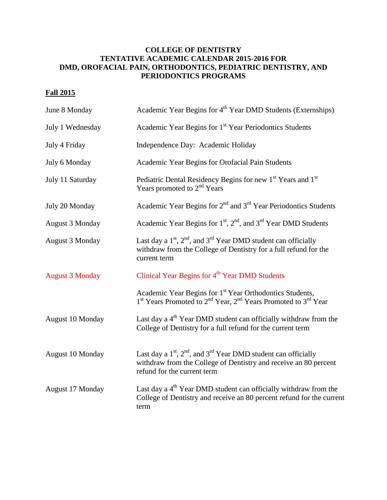## **COLLEGE OF DENTISTRY TENTATIVE ACADEMIC CALENDAR 2015-2016 FOR DMD, OROFACIAL PAIN, ORTHODONTICS, PEDIATRIC DENTISTRY, AND PERIODONTICS PROGRAMS**

## **Fall 2015**

| June 8 Monday          | Academic Year Begins for 4 <sup>th</sup> Year DMD Students (Externships)                                                                                                               |
|------------------------|----------------------------------------------------------------------------------------------------------------------------------------------------------------------------------------|
| July 1 Wednesday       | Academic Year Begins for 1 <sup>st</sup> Year Periodontics Students                                                                                                                    |
| July 4 Friday          | Independence Day: Academic Holiday                                                                                                                                                     |
| July 6 Monday          | Academic Year Begins for Orofacial Pain Students                                                                                                                                       |
| July 11 Saturday       | Pediatric Dental Residency Begins for new 1st Years and 1st<br>Years promoted to 2 <sup>nd</sup> Years                                                                                 |
| July 20 Monday         | Academic Year Begins for 2 <sup>nd</sup> and 3 <sup>rd</sup> Year Periodontics Students                                                                                                |
| <b>August 3 Monday</b> | Academic Year Begins for 1 <sup>st</sup> , 2 <sup>nd</sup> , and 3 <sup>rd</sup> Year DMD Students                                                                                     |
| August 3 Monday        | Last day a $1st$ , $2nd$ , and $3rd$ Year DMD student can officially<br>withdraw from the College of Dentistry for a full refund for the<br>current term                               |
| <b>August 3 Monday</b> | Clinical Year Begins for 4 <sup>th</sup> Year DMD Students                                                                                                                             |
|                        | Academic Year Begins for 1 <sup>st</sup> Year Orthodontics Students,<br>1 <sup>st</sup> Years Promoted to 2 <sup>nd</sup> Year, 2 <sup>nd</sup> Years Promoted to 3 <sup>rd</sup> Year |
| August 10 Monday       | Last day a $4th$ Year DMD student can officially withdraw from the<br>College of Dentistry for a full refund for the current term                                                      |
| August 10 Monday       | Last day a $1st$ , $2nd$ , and $3rd$ Year DMD student can officially<br>withdraw from the College of Dentistry and receive an 80 percent<br>refund for the current term                |
| August 17 Monday       | Last day a 4 <sup>th</sup> Year DMD student can officially withdraw from the<br>College of Dentistry and receive an 80 percent refund for the current<br>term                          |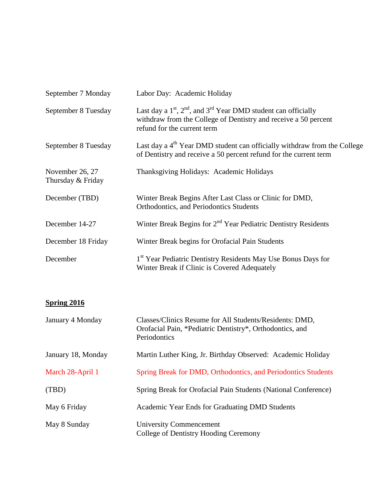| September 7 Monday                   | Labor Day: Academic Holiday                                                                                                                                            |
|--------------------------------------|------------------------------------------------------------------------------------------------------------------------------------------------------------------------|
| September 8 Tuesday                  | Last day a $1st$ , $2nd$ , and $3rd$ Year DMD student can officially<br>withdraw from the College of Dentistry and receive a 50 percent<br>refund for the current term |
| September 8 Tuesday                  | Last day a 4 <sup>th</sup> Year DMD student can officially withdraw from the College<br>of Dentistry and receive a 50 percent refund for the current term              |
| November 26, 27<br>Thursday & Friday | Thanksgiving Holidays: Academic Holidays                                                                                                                               |
| December (TBD)                       | Winter Break Begins After Last Class or Clinic for DMD,<br>Orthodontics, and Periodontics Students                                                                     |
| December 14-27                       | Winter Break Begins for 2 <sup>nd</sup> Year Pediatric Dentistry Residents                                                                                             |
| December 18 Friday                   | Winter Break begins for Orofacial Pain Students                                                                                                                        |
| December                             | 1 <sup>st</sup> Year Pediatric Dentistry Residents May Use Bonus Days for<br>Winter Break if Clinic is Covered Adequately                                              |

## **Spring 2016**

| January 4 Monday   | Classes/Clinics Resume for All Students/Residents: DMD,<br>Orofacial Pain, *Pediatric Dentistry*, Orthodontics, and<br>Periodontics |
|--------------------|-------------------------------------------------------------------------------------------------------------------------------------|
| January 18, Monday | Martin Luther King, Jr. Birthday Observed: Academic Holiday                                                                         |
| March 28-April 1   | Spring Break for DMD, Orthodontics, and Periodontics Students                                                                       |
| (TBD)              | Spring Break for Orofacial Pain Students (National Conference)                                                                      |
| May 6 Friday       | Academic Year Ends for Graduating DMD Students                                                                                      |
| May 8 Sunday       | <b>University Commencement</b><br>College of Dentistry Hooding Ceremony                                                             |